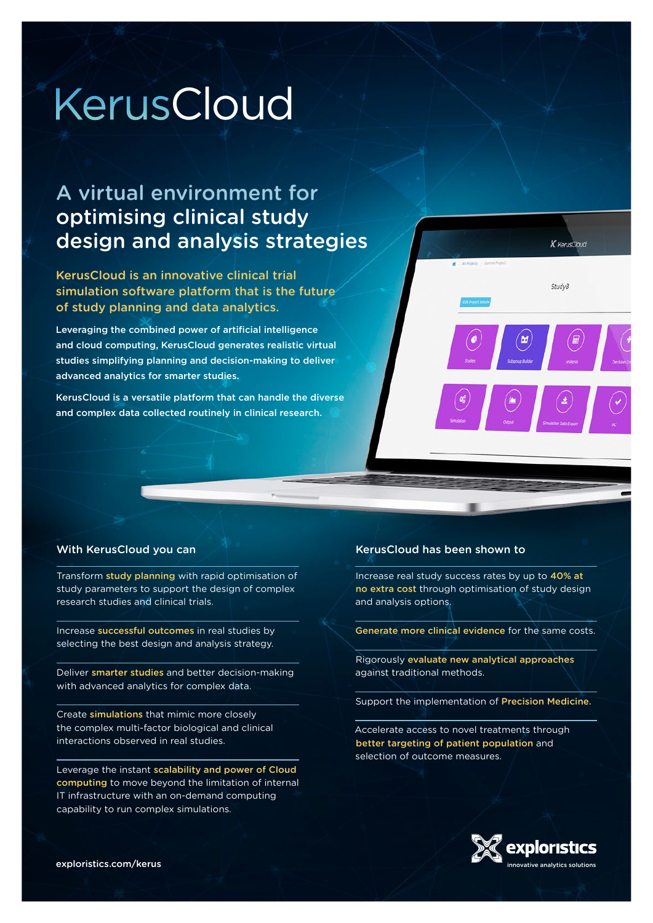# KerusCloud

## A virtual environment for optimising clinical study design and analysis strategies

KerusCloud is an innovative clinical trial simulation software platform that is the future of study planning and data analytics.

Leveraging the combined power of artificial intelligence and cloud computing, KerusCloud generates realistic virtual studies simplifying planning and decision-making to deliver advanced analytics for smarter studies.

KerusCloud is a versatile platform that can handle the diverse and complex data collected routinely in clinical research.



#### With KerusCloud you can

Transform study planning with rapid optimisation of study parameters to support the design of complex research studies and clinical trials.

Increase successful outcomes in real studies by selecting the best design and analysis strategy.

Deliver smarter studies and better decision-making with advanced analytics for complex data.

Create simulations that mimic more closely the complex multi-factor biological and clinical interactions observed in real studies.

Leverage the instant scalability and power of Cloud computing to move beyond the limitation of internal IT infrastructure with an on-demand computing capability to run complex simulations.

#### KerusCloud has been shown to

Increase real study success rates by up to 40% at no extra cost through optimisation of study design and analysis options.

Generate more clinical evidence for the same costs.

Rigorously evaluate new analytical approaches against traditional methods.

Support the implementation of Precision Medicine.

Accelerate access to novel treatments through better targeting of patient population and selection of outcome measures.